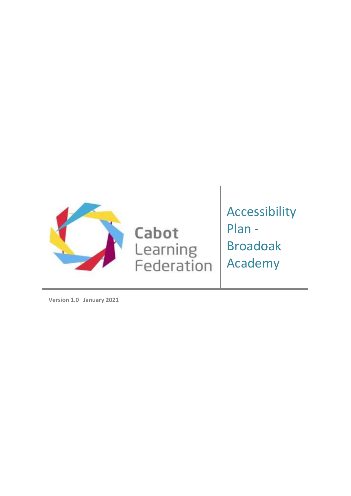

Cabot Learning<br>Federation Accessibility Plan - Broadoak Academy

**Version 1.0 January 2021**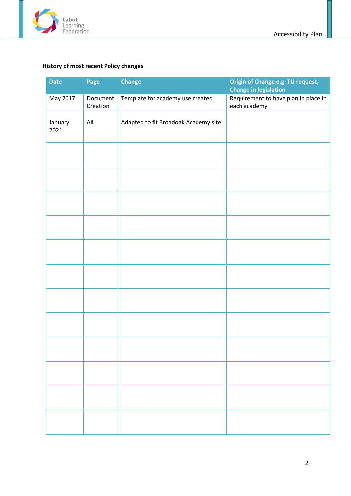

# <span id="page-1-0"></span>**History of most recent Policy changes**

| <b>Date</b>     | Page                 | <b>Change</b>                        | Origin of Change e.g. TU request,<br><b>Change in legislation</b> |
|-----------------|----------------------|--------------------------------------|-------------------------------------------------------------------|
| May 2017        | Document<br>Creation | Template for academy use created     | Requirement to have plan in place in<br>each academy              |
| January<br>2021 | $\mathsf{All}$       | Adapted to fit Broadoak Academy site |                                                                   |
|                 |                      |                                      |                                                                   |
|                 |                      |                                      |                                                                   |
|                 |                      |                                      |                                                                   |
|                 |                      |                                      |                                                                   |
|                 |                      |                                      |                                                                   |
|                 |                      |                                      |                                                                   |
|                 |                      |                                      |                                                                   |
|                 |                      |                                      |                                                                   |
|                 |                      |                                      |                                                                   |
|                 |                      |                                      |                                                                   |
|                 |                      |                                      |                                                                   |
|                 |                      |                                      |                                                                   |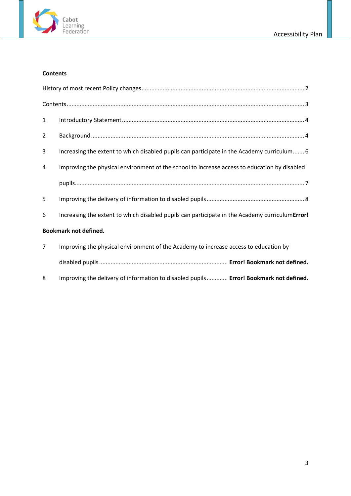

### <span id="page-2-0"></span>**Contents**

| 1              |                                                                                                 |
|----------------|-------------------------------------------------------------------------------------------------|
| 2              |                                                                                                 |
| 3              | Increasing the extent to which disabled pupils can participate in the Academy curriculum 6      |
| 4              | Improving the physical environment of the school to increase access to education by disabled    |
|                |                                                                                                 |
| 5              |                                                                                                 |
| 6              | Increasing the extent to which disabled pupils can participate in the Academy curriculum Error! |
|                | <b>Bookmark not defined.</b>                                                                    |
| $\overline{7}$ | Improving the physical environment of the Academy to increase access to education by            |
|                |                                                                                                 |
|                |                                                                                                 |

8 Improving the delivery of information to disabled pupils............. **Error! Bookmark not defined.**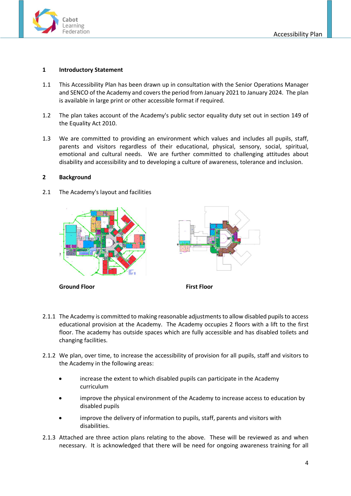

#### <span id="page-3-0"></span>**1 Introductory Statement**

- 1.1 This Accessibility Plan has been drawn up in consultation with the Senior Operations Manager and SENCO of the Academy and covers the period from January 2021 to January 2024. The plan is available in large print or other accessible format if required.
- 1.2 The plan takes account of the Academy's public sector equality duty set out in section 149 of the Equality Act 2010.
- 1.3 We are committed to providing an environment which values and includes all pupils, staff, parents and visitors regardless of their educational, physical, sensory, social, spiritual, emotional and cultural needs. We are further committed to challenging attitudes about disability and accessibility and to developing a culture of awareness, tolerance and inclusion.

#### <span id="page-3-1"></span>**2 Background**

2.1 The Academy's layout and facilities



**Ground Floor First Floor** 



- 2.1.1 The Academy is committed to making reasonable adjustments to allow disabled pupils to access educational provision at the Academy. The Academy occupies 2 floors with a lift to the first floor. The academy has outside spaces which are fully accessible and has disabled toilets and changing facilities.
- 2.1.2 We plan, over time, to increase the accessibility of provision for all pupils, staff and visitors to the Academy in the following areas:
	- increase the extent to which disabled pupils can participate in the Academy curriculum
	- improve the physical environment of the Academy to increase access to education by disabled pupils
	- improve the delivery of information to pupils, staff, parents and visitors with disabilities.
- 2.1.3 Attached are three action plans relating to the above. These will be reviewed as and when necessary. It is acknowledged that there will be need for ongoing awareness training for all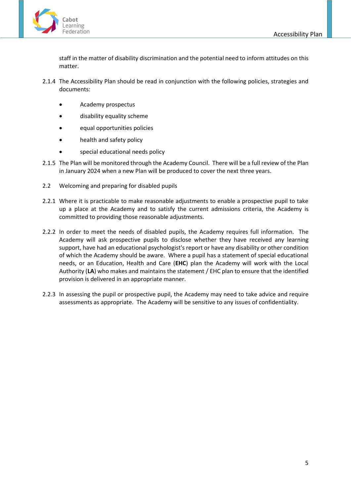

staff in the matter of disability discrimination and the potential need to inform attitudes on this matter.

- 2.1.4 The Accessibility Plan should be read in conjunction with the following policies, strategies and documents:
	- Academy prospectus
	- disability equality scheme
	- equal opportunities policies
	- health and safety policy
	- special educational needs policy
- 2.1.5 The Plan will be monitored through the Academy Council. There will be a full review of the Plan in January 2024 when a new Plan will be produced to cover the next three years.
- 2.2 Welcoming and preparing for disabled pupils
- 2.2.1 Where it is practicable to make reasonable adjustments to enable a prospective pupil to take up a place at the Academy and to satisfy the current admissions criteria, the Academy is committed to providing those reasonable adjustments.
- 2.2.2 In order to meet the needs of disabled pupils, the Academy requires full information. The Academy will ask prospective pupils to disclose whether they have received any learning support, have had an educational psychologist's report or have any disability or other condition of which the Academy should be aware. Where a pupil has a statement of special educational needs, or an Education, Health and Care (**EHC**) plan the Academy will work with the Local Authority (**LA**) who makes and maintains the statement / EHC plan to ensure that the identified provision is delivered in an appropriate manner.
- 2.2.3 In assessing the pupil or prospective pupil, the Academy may need to take advice and require assessments as appropriate. The Academy will be sensitive to any issues of confidentiality.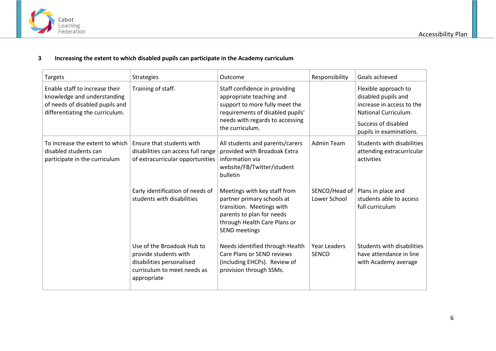

### **3 Increasing the extent to which disabled pupils can participate in the Academy curriculum**

<span id="page-5-0"></span>

| <b>Targets</b>                                                                                                                      | <b>Strategies</b>                                                                                                              | Outcome                                                                                                                                                                               | Responsibility                      | Goals achieved                                                                                                                                     |
|-------------------------------------------------------------------------------------------------------------------------------------|--------------------------------------------------------------------------------------------------------------------------------|---------------------------------------------------------------------------------------------------------------------------------------------------------------------------------------|-------------------------------------|----------------------------------------------------------------------------------------------------------------------------------------------------|
| Enable staff to increase their<br>knowledge and understanding<br>of needs of disabled pupils and<br>differentiating the curriculum. | Training of staff.                                                                                                             | Staff confidence in providing<br>appropriate teaching and<br>support to more fully meet the<br>requirements of disabled pupils'<br>needs with regards to accessing<br>the curriculum. |                                     | Flexible approach to<br>disabled pupils and<br>increase in access to the<br>National Curriculum.<br>Success of disabled<br>pupils in examinations. |
| To increase the extent to which<br>disabled students can<br>participate in the curriculum                                           | Ensure that students with<br>disabilities can access full range<br>of extracurricular opportunities                            | All students and parents/carers<br>provided with Broadoak Extra<br>information via<br>website/FB/Twitter/student<br>bulletin                                                          | <b>Admin Team</b>                   | Students with disabilities<br>attending extracurricular<br>activities                                                                              |
|                                                                                                                                     | Early identification of needs of<br>students with disabilities                                                                 | Meetings with key staff from<br>partner primary schools at<br>transition. Meetings with<br>parents to plan for needs<br>through Health Care Plans or<br><b>SEND meetings</b>          | SENCO/Head of<br>Lower School       | Plans in place and<br>students able to access<br>full curriculum                                                                                   |
|                                                                                                                                     | Use of the Broadoak Hub to<br>provide students with<br>disabilities personalised<br>curriculum to meet needs as<br>appropriate | Needs identified through Health<br>Care Plans or SEND reviews<br>(including EHCPs). Review of<br>provision through SSMs.                                                              | <b>Year Leaders</b><br><b>SENCO</b> | Students with disabilities<br>have attendance in line<br>with Academy average                                                                      |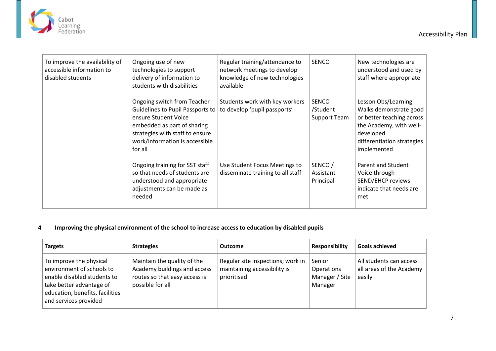



| To improve the availability of<br>accessible information to<br>disabled students | Ongoing use of new<br>technologies to support<br>delivery of information to<br>students with disabilities                                                                                              | Regular training/attendance to<br>network meetings to develop<br>knowledge of new technologies<br>available | <b>SENCO</b>                                    | New technologies are<br>understood and used by<br>staff where appropriate                                                                                       |
|----------------------------------------------------------------------------------|--------------------------------------------------------------------------------------------------------------------------------------------------------------------------------------------------------|-------------------------------------------------------------------------------------------------------------|-------------------------------------------------|-----------------------------------------------------------------------------------------------------------------------------------------------------------------|
|                                                                                  | Ongoing switch from Teacher<br>Guidelines to Pupil Passports to<br>ensure Student Voice<br>embedded as part of sharing<br>strategies with staff to ensure<br>work/information is accessible<br>for all | Students work with key workers<br>to develop 'pupil passports'                                              | <b>SENCO</b><br>/Student<br><b>Support Team</b> | Lesson Obs/Learning<br>Walks demonstrate good<br>or better teaching across<br>the Academy, with well-<br>developed<br>differentiation strategies<br>implemented |
|                                                                                  | Ongoing training for SST staff<br>so that needs of students are<br>understood and appropriate<br>adjustments can be made as<br>needed                                                                  | Use Student Focus Meetings to<br>disseminate training to all staff                                          | SENCO/<br>Assistant<br>Principal                | Parent and Student<br>Voice through<br>SEND/EHCP reviews<br>indicate that needs are<br>met                                                                      |

# **4 Improving the physical environment of the school to increase access to education by disabled pupils**

<span id="page-6-0"></span>

| <b>Targets</b>                                                                                                                                                              | <b>Strategies</b>                                                                                                | <b>Outcome</b>                                                                   | <b>Responsibility</b>                             | <b>Goals achieved</b>                                           |
|-----------------------------------------------------------------------------------------------------------------------------------------------------------------------------|------------------------------------------------------------------------------------------------------------------|----------------------------------------------------------------------------------|---------------------------------------------------|-----------------------------------------------------------------|
| To improve the physical<br>environment of schools to<br>enable disabled students to<br>take better advantage of<br>education, benefits, facilities<br>and services provided | Maintain the quality of the<br>Academy buildings and access<br>routes so that easy access is<br>possible for all | Regular site inspections; work in<br>maintaining accessibility is<br>prioritised | Senior<br>Operations<br>Manager / Site<br>Manager | All students can access<br>all areas of the Academy  <br>easily |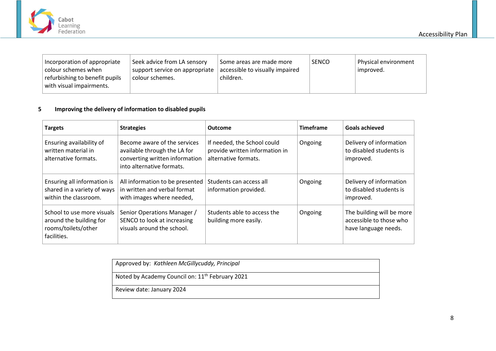

| Incorporation of appropriate<br>colour schemes when<br>refurbishing to benefit pupils<br>with visual impairments. | Seek advice from LA sensory<br>support service on appropriate<br>colour schemes. | Some areas are made more<br>accessible to visually impaired<br>children. | <b>SENCO</b> | Physical environment<br>improved. |
|-------------------------------------------------------------------------------------------------------------------|----------------------------------------------------------------------------------|--------------------------------------------------------------------------|--------------|-----------------------------------|
|-------------------------------------------------------------------------------------------------------------------|----------------------------------------------------------------------------------|--------------------------------------------------------------------------|--------------|-----------------------------------|

# **5 Improving the delivery of information to disabled pupils**

| <b>Targets</b>                                                                              | <b>Strategies</b>                                                                                                           | <b>Outcome</b>                                                                        | <b>Timeframe</b> | <b>Goals achieved</b>                                                        |
|---------------------------------------------------------------------------------------------|-----------------------------------------------------------------------------------------------------------------------------|---------------------------------------------------------------------------------------|------------------|------------------------------------------------------------------------------|
| Ensuring availability of<br>written material in<br>alternative formats.                     | Become aware of the services<br>available through the LA for<br>converting written information<br>into alternative formats. | If needed, the School could<br>provide written information in<br>alternative formats. | Ongoing          | Delivery of information<br>to disabled students is<br>improved.              |
| Ensuring all information is<br>shared in a variety of ways<br>within the classroom.         | All information to be presented<br>in written and verbal format<br>with images where needed,                                | Students can access all<br>information provided.                                      | Ongoing          | Delivery of information<br>to disabled students is<br>improved.              |
| School to use more visuals<br>around the building for<br>rooms/toilets/other<br>facilities. | Senior Operations Manager /<br>SENCO to look at increasing<br>visuals around the school.                                    | Students able to access the<br>building more easily.                                  | Ongoing          | The building will be more<br>accessible to those who<br>have language needs. |

<span id="page-7-0"></span>

| Approved by: Kathleen McGillycuddy, Principal               |
|-------------------------------------------------------------|
| Noted by Academy Council on: 11 <sup>th</sup> February 2021 |
| Review date: January 2024                                   |